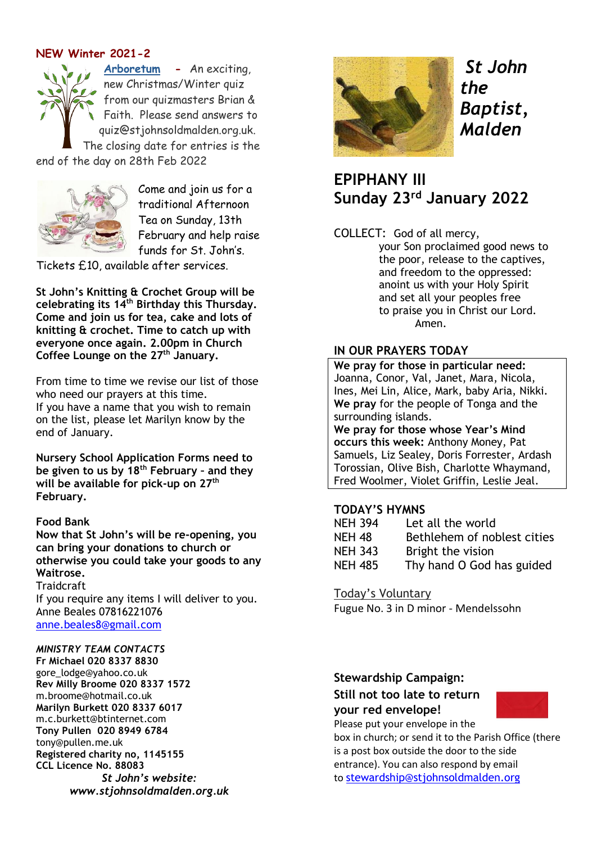# **NEW Winter 2021-2**

**[Arboretum](https://stjohnsoldmalden.org.uk/content/pages/documents/quiz-2021-winter-arboretum-questions-5469038363.pdf) -** An exciting, new Christmas/Winter quiz from our quizmasters Brian & Faith. Please send answers to quiz@stjohnsoldmalden.org.uk. The closing date for entries is the end of the day on 28th Feb 2022



Come and join us for a traditional Afternoon Tea on Sunday, 13th February and help raise funds for St. John's.

Tickets £10, available after services.

**St John's Knitting & Crochet Group will be celebrating its 14th Birthday this Thursday. Come and join us for tea, cake and lots of knitting & crochet. Time to catch up with everyone once again. 2.00pm in Church Coffee Lounge on the 27th January.**

From time to time we revise our list of those who need our prayers at this time. If you have a name that you wish to remain on the list, please let Marilyn know by the end of January.

**Nursery School Application Forms need to be given to us by 18th February – and they will be available for pick-up on 27th February.**

## **Food Bank**

**Now that St John's will be re-opening, you can bring your donations to church or otherwise you could take your goods to any Waitrose.**

**Traidcraft** If you require any items I will deliver to you. Anne Beales 07816221076 [anne.beales8@gmail.com](mailto:anne.beales8@gmail.com)

#### *MINISTRY TEAM CONTACTS*

**Fr Michael 020 8337 8830** [gore\\_lodge@yahoo.co.uk](mailto:gore_lodge@yahoo.co.uk) **Rev Milly Broome 020 8337 1572** [m.broome@hotmail.co.uk](mailto:m.broome@hotmail.co.uk) **Marilyn Burkett 020 8337 6017** [m.c.burkett@btinternet.com](mailto:m.c.burkett@btinternet.com) **Tony Pullen 020 8949 6784** [tony@pullen.me.uk](mailto:tony@pullen.me.uk) **Registered charity no, 1145155 CCL Licence No. 88083** *St John's website: [www.stjohnsoldmalden.org.uk](http://www.stjohnsoldmalden.org.uk/)*



*St John the Baptist, Malden*

**EPIPHANY III Sunday 23rd January 2022**

COLLECT: God of all mercy,

your Son proclaimed good news to the poor, release to the captives, and freedom to the oppressed: anoint us with your Holy Spirit and set all your peoples free to praise you in Christ our Lord. Amen.

# **IN OUR PRAYERS TODAY**

**We pray for those in particular need:** Joanna, Conor, Val, Janet, Mara, Nicola, Ines, Mei Lin, Alice, Mark, baby Aria, Nikki. **We pray** for the people of Tonga and the surrounding islands.

**We pray for those whose Year's Mind occurs this week:** Anthony Money, Pat Samuels, Liz Sealey, Doris Forrester, Ardash Torossian, Olive Bish, Charlotte Whaymand, Fred Woolmer, Violet Griffin, Leslie Jeal.

## **TODAY'S HYMNS**

| <b>NEH 394</b> | Let all the world           |
|----------------|-----------------------------|
| <b>NEH 48</b>  | Bethlehem of noblest cities |
| <b>NEH 343</b> | Bright the vision           |
| <b>NEH 485</b> | Thy hand O God has guided   |

Today's Voluntary

Fugue No. 3 in D minor - Mendelssohn

# **Stewardship Campaign: Still not too late to return your red envelope!**



Please put your envelope in the box in church; or send it to the Parish Office (there is a post box outside the door to the side entrance). You can also respond by email to [stewardship@stjohnsoldmalden.org](mailto:stewardship@stjohnsoldmalden.org)